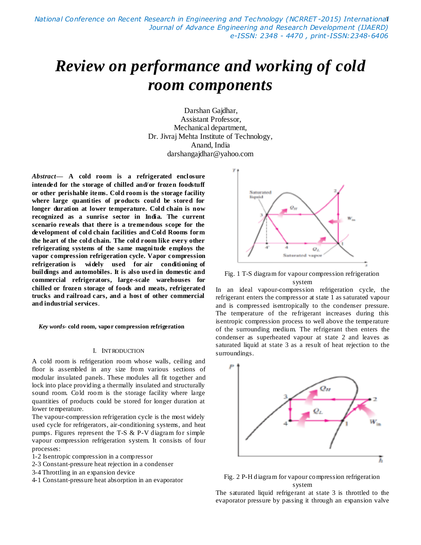# *Review on performance and working of cold room components*

Darshan Gajdhar, Assistant Professor, Mechanical department, Dr. Jivraj Mehta Institute of Technology, Anand, India darshangajdhar@yahoo.com

*Abstract***— A cold room is a refrigerated enclosure intended for the storage of chilled and/or frozen foodstuff or other perishable items. Cold room is the storage facility where large quantities of products could be stored for longer duration at lower temperature. Cold chain is now recognized as a sunrise sector in India. The current scenario reveals that there is a tremendous scope for the development of cold chain facilities and Cold Rooms form the heart of the cold chain. The cold room like every other refrigerating systems of the same magnitude employs the vapor compression refrigeration cycle. Vapor compression refrigeration is widely used for [air conditioning](http://en.wikipedia.org/wiki/Air_conditioning) of buildings and automobiles. It is also used in domestic and commercial refrigerators, large-scale warehouses for chilled or frozen storage of foods and meats, refrigerated trucks and railroad cars, and a host of other commercial and industrial services**.

*Key words-* **cold room, vapor compression refrigeration**

#### I. INTRODUCTION

A cold room is refrigeration room whose walls, ceiling and floor is assembled in any size from various sections of modular insulated panels. These modules all fit together and lock into place providing a thermally insulated and structurally sound room. Cold room is the storage facility where large quantities of products could be stored for longer duration at lower temperature.

The vapour-compression refrigeration cycle is the most widely used cycle for refrigerators, air-conditioning systems, and heat pumps. Figures represent the T-S & P-V diagram for simple vapour compression refrigeration system. It consists of four processes:

- 1-2 Isentropic compression in a compressor
- 2-3 Constant-pressure heat rejection in a condenser
- 3-4 Throttling in an expansion device
- 4-1 Constant-pressure heat absorption in an evaporator



Fig. 1 T-S diagram for vapour compression refrigeration system

In an ideal vapour-compression refrigeration cycle, the refrigerant enters the compressor at state 1 as saturated vapour and is compressed isentropically to the condenser pressure. The temperature of the refrigerant increases during this isentropic compression process to well above the temperature of the surrounding medium. The refrigerant then enters the condenser as superheated vapour at state 2 and leaves as saturated liquid at state 3 as a result of heat rejection to the surroundings.



Fig. 2 P-H diagram for vapour compression refrigeration system

The saturated liquid refrigerant at state 3 is throttled to the evaporator pressure by passing it through an expansion valve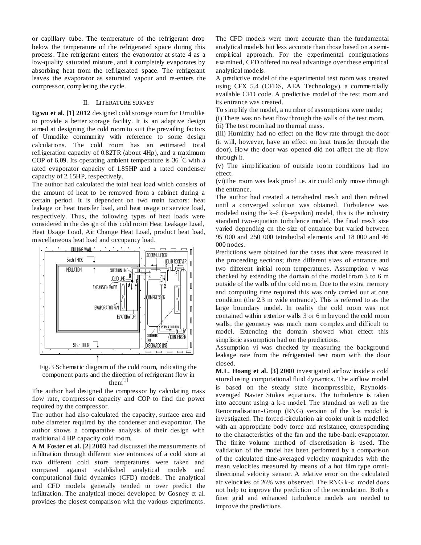or capillary tube. The temperature of the refrigerant drop below the temperature of the refrigerated space during this process. The refrigerant enters the evaporator at state 4 as a low-quality saturated mixture, and it completely evaporates by absorbing heat from the refrigerated space. The refrigerant leaves the evaporator as saturated vapour and re-enters the compressor, completing the cycle.

#### II. LITERATURE SURVEY

**Ugwu et al. [1] 2012** designed cold storage room for Umudike to provide a better storage facility. It is an adaptive design aimed at designing the cold room to suit the prevailing factors of Umudike community with reference to some design calculations. The cold room has an estimated total refrigeration capacity of 0.82TR (about 4Hp), and a maximum COP of 6.09. Its operating ambient temperature is  $36\degree$ C with a rated evaporator capacity of 1.85HP and a rated condenser capacity of 2.15HP, respectively.

The author had calculated the total heat load which consists of the amount of heat to be removed from a cabinet during a certain period. It is dependent on two main factors: heat leakage or heat transfer load, and heat usage or service load, respectively. Thus, the following types of heat loads were considered in the design of this cold room Heat Leakage Load, Heat Usage Load, Air Change Heat Load, product heat load, miscellaneous heat load and occupancy load.





The author had designed the compressor by calculating mass flow rate, compressor capacity and COP to find the power required by the compressor.

The author had also calculated the capacity, surface area and tube diameter required by the condenser and evaporator. The author shows a comparative analysis of their design with traditional 4 HP capacity cold room.

**A M Foster et al. [2] 2003** had discussed the measurements of infiltration through different size entrances of a cold store at two different cold store temperatures were taken and compared against established analytical models and computational fluid dynamics (CFD) models. The analytical and CFD models generally tended to over predict the infiltration. The analytical model developed by Gosney et al. provides the closest comparison with the various experiments.

The CFD models were more accurate than the fundamental analytical models but less accurate than those based on a semiempirical approach. For the experimental configurations examined, CFD offered no real advantage over these empirical analytical models.

A predictive model of the experimental test room was created using CFX 5.4 (CFDS, AEA Technology), a commercially available CFD code. A predictive model of the test room and its entrance was created.

To simplify the model, a number of assumptions were made;

(i) There was no heat flow through the walls of the test room. (ii) The test room had no thermal mass.

(iii) Humidity had no effect on the flow rate through the door (it will, however, have an effect on heat transfer through the door). How the door was opened did not affect the air-flow through it.

(v) The simplification of outside roo m conditions had no effect.

(vi)The room was leak proof i.e. air could only move through the entrance.

The author had created a tetrahedral mesh and then refined until a converged solution was obtained. Turbulence was modeled using the  $k-\mathcal{E}$  (k–epsilon) model, this is the industry standard two-equation turbulence model. The final mesh size varied depending on the size of entrance but varied between 95 000 and 250 000 tetrahedral elements and 18 000 and 46 000 nodes.

Predictions were obtained for the cases that were measured in the proceeding sections; three different sizes of entrance and two different initial room temperatures. Assumption v was checked by extending the domain of the model from 3 to 6 m outside of the walls of the cold room. Due to the extra memory and computing time required this was only carried out at one condition (the 2.3 m wide entrance). This is referred to as the large boundary model. In reality the cold room was not contained within exterior walls 3 or 6 m beyond the cold room walls, the geometry was much more complex and difficult to model. Extending the domain showed what effect this simplistic assumption had on the predictions.

Assumption vi was checked by measuring the background leakage rate from the refrigerated test room with the door closed.

**M.L. Hoang et al. [3] 2000** investigated airflow inside a cold stored using computational fluid dynamics. The airflow model is based on the steady state incompressible, Reynoldsaveraged Navier Stokes equations. The turbulence is taken into account using a k-ε model. The standard as well as the Renormalisation-Group (RNG) version of the k-ε model is investigated. The forced-circulation air cooler unit is modelled with an appropriate body force and resistance, corresponding to the characteristics of the fan and the tube-bank evaporator. The finite volume method of discretisation is used. The validation of the model has been performed by a comparison of the calculated time-averaged velocity magnitudes with the mean velocities measured by means of a hot film type omnidirectional velocity sensor. A relative error on the calculated air velocities of 26% was observed. The RNG k-ε model does not help to improve the prediction of the recirculation. Both a finer grid and enhanced turbulence models are needed to improve the predictions.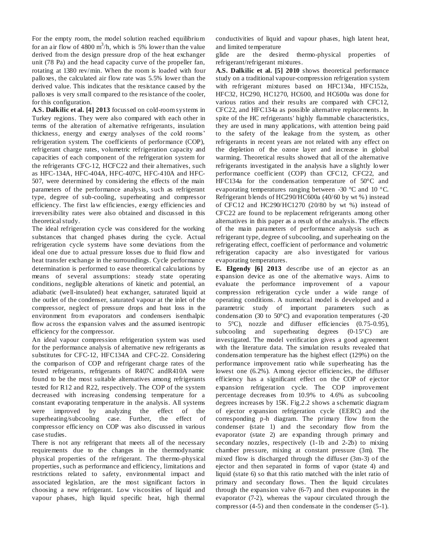For the empty room, the model solution reached equilibrium for an air flow of  $4800 \text{ m}^3/\text{h}$ , which is 5% lower than the value derived from the design pressure drop of the heat exchanger unit (78 Pa) and the head capacity curve of the propeller fan, rotating at 1380 rev/min. When the room is loaded with four palloxes, the calculated air flow rate was 5.5% lower than the derived value. This indicates that the resistance caused by the palloxes is very small compared to the resistance of the cooler, for this configuration.

**A.S. Dalkilic et al. [4] 2013** focussed on cold-room systems in Turkey regions. They were also compared with each other in terms of the alteration of alternative refrigerants, insulation thickness, energy and exergy analyses of the cold rooms' refrigeration system. The coefficients of performance (COP), refrigerant charge rates, volumetric refrigeration capacity and capacities of each component of the refrigeration system for the refrigerants CFC-12, HCFC22 and their alternatives, such as HFC-134A, HFC-404A, HFC-407C, HFC-410A and HFC-507, were determined by considering the effects of the main parameters of the performance analysis, such as refrigerant type, degree of sub-cooling, superheating and compressor efficiency. The first law efficiencies, exergy efficiencies and irreversibility rates were also obtained and discussed in this theoretical study.

The ideal refrigeration cycle was considered for the working substances that changed phases during the cycle. Actual refrigeration cycle systems have some deviations from the ideal one due to actual pressure losses due to fluid flow and heat transfer exchange in the surroundings. Cycle performance determination is performed to ease theoretical calculations by means of several assumptions: steady state operating conditions, negligible alterations of kinetic and potential, an adiabatic (well-insulated) heat exchanger, saturated liquid at the outlet of the condenser, saturated vapour at the inlet of the compressor, neglect of pressure drops and heat loss in the environment from evaporators and condensers isenthalpic flow across the expansion valves and the assumed isentropic efficiency for the compressor.

An ideal vapour compression refrigeration system was used for the performance analysis of alternative new refrigerants as substitutes for CFC-12, HFC134A and CFC-22. Considering the comparison of COP and refrigerant charge rates of the tested refrigerants, refrigerants of R407C andR410A were found to be the most suitable alternatives among refrigerants tested for R12 and R22, respectively. The COP of the system decreased with increasing condensing temperature for a constant evaporating temperature in the analysis. All systems were improved by analyzing the effect of the superheating/subcooling case. Further, the effect of compressor efficiency on COP was also discussed in various case studies.

There is not any refrigerant that meets all of the necessary requirements due to the changes in the thermodynamic physical properties of the refrigerant. The thermo-physical properties, such as performance and efficiency, limitations and restrictions related to safety, environmental impact and associated legislation, are the most significant factors in choosing a new refrigerant. Low viscosities of liquid and vapour phases, high liquid specific heat, high thermal

conductivities of liquid and vapour phases, high latent heat, and limited temperature

glide are the desired thermo-physical properties of refrigerant/refrigerant mixtures.

**A.S. Dalkilic et al. [5] 2010** shows theoretical performance study on a traditional vapour-compression refrigeration system with refrigerant mixtures based on HFC134a, HFC152a, HFC32, HC290, HC1270, HC600, and HC600a was done for various ratios and their results are compared with CFC12, CFC22, and HFC134a as possible alternative replacements. In spite of the HC refrigerants' highly flammable characteristics, they are used in many applications, with attention being paid to the safety of the leakage from the system, as other refrigerants in recent years are not related with any effect on the depletion of the ozone layer and increase in global warming. Theoretical results showed that all of the alternative refrigerants investigated in the analysis have a slightly lower performance coefficient (COP) than CFC12, CFC22, and HFC134a for the condensation temperature of 50°C and evaporating temperatures ranging between -30 °C and 10 °C. Refrigerant blends of HC290/HC600a (40/60 by wt %) instead of CFC12 and HC290/HC1270 (20/80 by wt %) instead of CFC22 are found to be replacement refrigerants among other alternatives in this paper as a result of the analysis. The effects of the main parameters of performance analysis such as refrigerant type, degree of subcooling, and superheating on the refrigerating effect, coefficient of performance and volumetric refrigeration capacity are also investigated for various evaporating temperatures.

**E. Elgendy [6] 2013** describe use of an ejector as an expansion device as one of the alternative ways. Aims to evaluate the performance improvement of a vapour compression refrigeration cycle under a wide range of operating conditions. A numerical model is developed and a parametric study of important parameters such as condensation (30 to 50°C) and evaporation temperatures (-20 to 5°C), nozzle and diffuser efficiencies (0.75-0.95), subcooling and superheating degrees  $(0-15^{\circ}C)$  are investigated. The model verification gives a good agreement with the literature data. The simulation results revealed that condensation temperature has the highest effect (129%) on the performance improvement ratio while superheating has the lowest one (6.2%). Among ejector efficiencies, the diffuser efficiency has a significant effect on the COP of ejector expansion refrigeration cycle. The COP improvement percentage decreases from 10.9% to 4.6% as subcooling degrees increases by 15K. Fig.2.2 shows a schematic diagram of ejector expansion refrigeration cycle (EERC) and the corresponding p-h diagram. The primary flow from the condenser (state 1) and the secondary flow from the evaporator (state 2) are expanding through primary and secondary nozzles, respectively (1-1b and 2-2b) to mixing chamber pressure, mixing at constant pressure (3m). The mixed flow is discharged through the diffuser (3m-3) of the ejector and then separated in forms of vapor (state 4) and liquid (state 6) so that this ratio matched with the inlet ratio of primary and secondary flows. Then the liquid circulates through the expansion valve (6-7) and then evaporates in the evaporator (7-2), whereas the vapour circulated through the compressor (4-5) and then condensate in the condenser (5-1).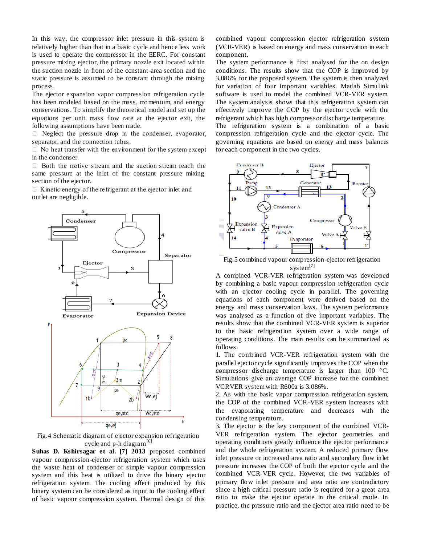In this way, the compressor inlet pressure in this system is relatively higher than that in a basic cycle and hence less work is used to operate the compressor in the EERC. For constant pressure mixing ejector, the primary nozzle exit located within the suction nozzle in front of the constant-area section and the static pressure is assumed to be constant through the mixing process.

The ejector expansion vapor compression refrigeration cycle has been modeled based on the mass, momentum, and energy conservations. To simplify the theoretical model and set up the equations per unit mass flow rate at the ejector exit, the following assumptions have been made.

 $\Box$  Neglect the pressure drop in the condenser, evaporator, separator, and the connection tubes.

 $\Box$  No heat transfer with the environment for the system except in the condenser.

 $\Box$  Both the motive stream and the suction stream reach the same pressure at the inlet of the constant pressure mixing section of the ejector.

 $\Box$  Kinetic energy of the refrigerant at the ejector inlet and outlet are negligible.



Fig.4 Schematic diagram of ejector expansion refrigeration cycle and  $p-h$  diagram<sup>[6]</sup>

**Suhas D. Kshirsagar et al. [7] 2013** proposed combined vapour compression-ejector refrigeration system which uses the waste heat of condenser of simple vapour compression system and this heat is utilized to drive the binary ejector refrigeration system. The cooling effect produced by this binary system can be considered as input to the cooling effect of basic vapour compression system. Thermal design of this

combined vapour compression ejector refrigeration system (VCR-VER) is based on energy and mass conservation in each component.

The system performance is first analysed for the on design conditions. The results show that the COP is improved by 3.086% for the proposed system. The system is then analyzed for variation of four important variables. Matlab Simulink software is used to model the combined VCR-VER system. The system analysis shows that this refrigeration system can effectively improve the COP by the ejector cycle with the refrigerant which has high compressor discharge temperature.

The refrigeration system is a combination of a basic compression refrigeration cycle and the ejector cycle. The governing equations are based on energy and mass balances for each component in the two cycles.



Fig.5 combined vapour compression-ejector refrigeration system<sup>[7]</sup>

A combined VCR-VER refrigeration system was developed by combining a basic vapour compression refrigeration cycle with an ejector cooling cycle in parallel. The governing equations of each component were derived based on the energy and mass conservation laws. The system performance was analysed as a function of five important variables. The results show that the combined VCR-VER system is superior to the basic refrigeration system over a wide range of operating conditions. The main results can be summarized as follows.

1. The combined VCR-VER refrigeration system with the parallel ejector cycle significantly improves the COP when the compressor discharge temperature is larger than 100 °C. Simulations give an average COP increase for the combined VCRVER system with R600a is 3.086%.

2. As with the basic vapor compression refrigeration system, the COP of the combined VCR-VER system increases with the evaporating temperature and decreases with the condensing temperature.

3. The ejector is the key component of the combined VCR-VER refrigeration system. The ejector geometries and operating conditions greatly influence the ejector performance and the whole refrigeration system. A reduced primary flow inlet pressure or increased area ratio and secondary flow inlet pressure increases the COP of both the ejector cycle and the combined VCR-VER cycle. However, the two variables of primary flow inlet pressure and area ratio are contradictory since a high critical pressure ratio is required for a great area ratio to make the ejector operate in the critical mode. In practice, the pressure ratio and the ejector area ratio need to be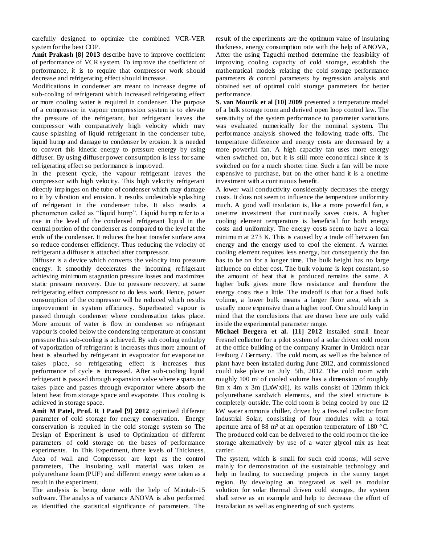carefully designed to optimize the combined VCR-VER system for the best COP.

**Amit Prakash [8] 2013** describe have to improve coefficient of performance of VCR system. To improve the coefficient of performance, it is to require that compressor work should decrease and refrigerating effect should increase.

Modifications in condenser are meant to increase degree of sub-cooling of refrigerant which increased refrigerating effect or more cooling water is required in condenser. The purpose of a compressor in vapour compression system is to elevate the pressure of the refrigerant, but refrigerant leaves the compressor with comparatively high velocity which may cause splashing of liquid refrigerant in the condenser tube, liquid hump and damage to condenser by erosion. It is needed to convert this kinetic energy to pressure energy by using diffuser. By using diffuser power consumption is less for same refrigerating effect so performance is improved.

In the present cycle, the vapour refrigerant leaves the compressor with high velocity. This high velocity refrigerant directly impinges on the tube of condenser which may damage to it by vibration and erosion. It results undesirable splashing of refrigerant in the condenser tube. It also results a phenomenon called as "liquid hump". Liquid hump refer to a rise in the level of the condensed refrigerant liquid in the central portion of the condenser as compared to the level at the ends of the condenser. It reduces the heat transfer surface area so reduce condenser efficiency. Thus reducing the velocity of refrigerant a diffuser is attached after compressor.

Diffuser is a device which converts the velocity into pressure energy. It smoothly decelerates the incoming refrigerant achieving minimum stagnation pressure losses and maximizes static pressure recovery. Due to pressure recovery, at same refrigerating effect compressor to do less work. Hence, power consumption of the compressor will be reduced which results improvement in system efficiency. Superheated vapour is passed through condenser where condensation takes place. More amount of water is flow in condenser so refrigerant vapour is cooled below the condensing temperature at constant pressure thus sub-cooling is achieved. By sub cooling enthalpy of vaporization of refrigerant is increases thus more amount of heat is absorbed by refrigerant in evaporator for evaporation takes place, so refrigerating effect is increases thus performance of cycle is increased. After sub-cooling liquid refrigerant is passed through expansion valve where expansion takes place and passes through evaporator where absorb the latent heat from storage space and evaporate. Thus cooling is achieved in storage space.

**Amit M Patel, Prof. R I Patel [9] 2012** optimized different parameter of cold storage for energy conservation. Energy conservation is required in the cold storage system so The Design of Experiment is used to Optimization of different parameters of cold storage on the bases of performance experiments. In This Experiment, three levels of Thickness, Area of wall and Compressor are kept as the control parameters, The Insulating wall material was taken as polyurethane foam (PUF) and different energy were taken as a result in the experiment.

The analysis is being done with the help of Minitab-15 software. The analysis of variance ANOVA is also performed as identified the statistical significance of parameters. The

result of the experiments are the optimum value of insulating thickness, energy consumption rate with the help of ANOVA, After the using Taguchi method determine the feasibility of improving cooling capacity of cold storage, establish the mathematical models relating the cold storage performance parameters & control parameters by regression analysis and obtained set of optimal cold storage parameters for better performance.

**S. van Mourik et al [10] 2009** presented a temperature model of a bulk storage room and derived open loop control law. The sensitivity of the system performance to parameter variations was evaluated numerically for the nominal system. The performance analysis showed the following trade offs. The temperature difference and energy costs are decreased by a more powerful fan. A high capacity fan uses more energy when switched on, but it is still more economical since it is switched on for a much shorter time. Such a fan will be more expensive to purchase, but on the other hand it is a onetime investment with a continuous benefit.

A lower wall conductivity considerably decreases the energy costs. It does not seem to influence the temperature uniformity much. A good wall insulation is, like a more powerful fan, a onetime investment that continually saves costs. A higher cooling element temperature is beneficial for both energy costs and uniformity. The energy costs seem to have a local minimum at 273 K. This is caused by a trade off between fan energy and the energy used to cool the element. A warmer cooling element requires less energy, but consequently the fan has to be on for a longer time. The bulk height has no large influence on either cost. The bulk volume is kept constant, so the amount of heat that is produced remains the same. A higher bulk gives more flow resistance and therefore the energy costs rise a little. The tradeoff is that for a fixed bulk volume, a lower bulk means a larger floor area, which is usually more expensive than a higher roof. One should keep in mind that the conclusions that are drawn here are only valid inside the experimental parameter range.

**Michael Bergera et al. [11] 2012** installed small linear Fresnel collector for a pilot system of a solar driven cold room at the office building of the company Kramer in Umkirch near Freiburg / Germany. The cold room, as well as the balance of plant have been installed during June 2012, and commissioned could take place on July 5th, 2012. The cold room with roughly 100 m<sup>3</sup> of cooled volume has a dimension of roughly 8m x 4m x 3m (LxW xH), its walls consist of 120mm thick polyurethane sandwich elements, and the steel structure is completely outside. The cold room is being cooled by one 12 kW water ammonia chiller, driven by a Fresnel collector from Industrial Solar, consisting of four modules with a total aperture area of 88 m<sup>2</sup> at an operation temperature of 180  $^{\circ}$ C. The produced cold can be delivered to the cold room or the ice storage alternatively by use of a water glycol mix as heat carrier.

The system, which is small for such cold rooms, will serve mainly for demonstration of the sustainable technology and help in leading to succeeding projects in the sunny target region. By developing an integrated as well as modular solution for solar thermal driven cold storages, the system shall serve as an example and help to decrease the effort of installation as well as engineering of such systems.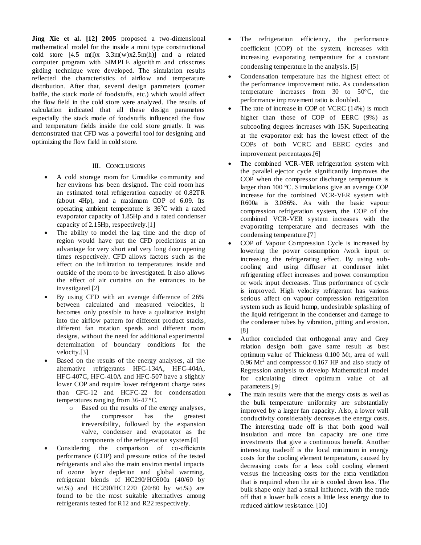**Jing Xie et al. [12] 2005** proposed a two-dimensional mathematical model for the inside a mini type constructional cold store  $[4.5 \text{ m}(l)x \quad 3.3 \text{ m}(w)x2.5 \text{ m}(h)]$  and a related computer program with SIMPLE algorithm and crisscross girding technique were developed. The simulation results reflected the characteristics of airflow and temperature distribution. After that, several design parameters (corner baffle, the stack mode of foodstuffs, etc.) which would affect the flow field in the cold store were analyzed. The results of calculation indicated that all these design parameters especially the stack mode of foodstuffs influenced the flow and temperature fields inside the cold store greatly. It was demonstrated that CFD was a powerful tool for designing and optimizing the flow field in cold store.

### III. CONCLUSIONS

- A cold storage room for Umudike community and her environs has been designed. The cold room has an estimated total refrigeration capacity of 0.82TR (about 4Hp), and a maximum COP of 6.09. Its operating ambient temperature is  $36^{\circ}$ C with a rated evaporator capacity of 1.85Hp and a rated condenser capacity of 2.15Hp, respectively.[1]
- The ability to model the lag time and the drop of region would have put the CFD predictions at an advantage for very short and very long door opening times respectively. CFD allows factors such as the effect on the infiltration to temperatures inside and outside of the room to be investigated. It also allows the effect of air curtains on the entrances to be investigated.[2]
- By using CFD with an average difference of 26% between calculated and measured velocities, it becomes only possible to have a qualitative insight into the airflow pattern for different product stacks, different fan rotation speeds and different room designs, without the need for additional experimental determination of boundary conditions for the velocity.[3]
- Based on the results of the energy analyses, all the alternative refrigerants HFC-134A, HFC-404A, HFC-407C, HFC-410A and HFC-507 have a slightly lower COP and require lower refrigerant charge rates than CFC-12 and HCFC-22 for condensation temperatures ranging from 36-47 ºC.
	- o Based on the results of the exergy analyses, the compressor has the greatest irreversibility, followed by the expansion valve, condenser and evaporator as the components of the refrigeration system.[4]
- Considering the comparison of co-efficients performance (COP) and pressure ratios of the tested refrigerants and also the main environmental impacts of ozone layer depletion and global warming, refrigerant blends of HC290/HC600a (40/60 by wt.%) and HC290/HC1270 (20/80 by wt.%) are found to be the most suitable alternatives among refrigerants tested for R12 and R22 respectively.
- The refrigeration efficiency, the performance coefficient (COP) of the system, increases with increasing evaporating temperature for a constant condensing temperature in the analysis. [5]
- Condensation temperature has the highest effect of the performance improvement ratio. As condensation temperature increases from 30 to 50°C, the performance improvement ratio is doubled.
- The rate of increase in COP of VCRC (14%) is much higher than those of COP of EERC (9%) as subcooling degrees increases with 15K. Superheating at the evaporator exit has the lowest effect of the COPs of both VCRC and EERC cycles and improvement percentages.[6]
- The combined VCR-VER refrigeration system with the parallel ejector cycle significantly improves the COP when the compressor discharge temperature is larger than 100 °C. Simulations give an average COP increase for the combined VCR-VER system with R600a is 3.086%. As with the basic vapour compression refrigeration system, the COP of the combined VCR-VER system increases with the evaporating temperature and decreases with the condensing temperature.[7]
- COP of Vapour Compression Cycle is increased by lowering the power consumption /work input or increasing the refrigerating effect. By using subcooling and using diffuser at condenser inlet refrigerating effect increases and power consumption or work input decreases. Thus performance of cycle is improved. High velocity refrigerant has various serious affect on vapour compression refrigeration system such as liquid hump, undesirable splashing of the liquid refrigerant in the condenser and damage to the condenser tubes by vibration, pitting and erosion. [8]
- Author concluded that orthogonal array and Grey relation design both gave same result as best optimum value of Thickness 0.100 Mt, area of wall  $0.96$  Mt<sup>2</sup> and compressor 0.167 HP and also study of Regression analysis to develop Mathematical model for calculating direct optimum value of all parameters.[9]
- The main results were that the energy costs as well as the bulk temperature uniformity are substantially improved by a larger fan capacity. Also, a lower wall conductivity considerably decreases the energy costs. The interesting trade off is that both good wall insulation and more fan capacity are one time investments that give a continuous benefit. Another interesting tradeoff is the local minimum in energy costs for the cooling element temperature, caused by decreasing costs for a less cold cooling element versus the increasing costs for the extra ventilation that is required when the air is cooled down less. The bulk shape only had a small influence, with the trade off that a lower bulk costs a little less energy due to reduced airflow resistance. [10]